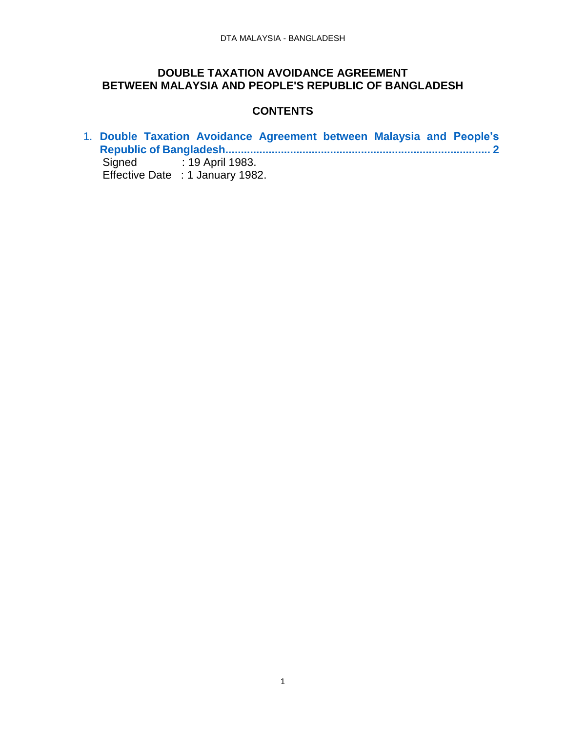#### **DOUBLE TAXATION AVOIDANCE AGREEMENT BETWEEN MALAYSIA AND PEOPLE'S REPUBLIC OF BANGLADESH**

#### **CONTENTS**

1. **[Double Taxation Avoidance Agreement between Malaysia and People's](#page-1-0)  Republic of [Bangladesh......................................................................................](#page-1-0) 2** Signed : 19 April 1983. Effective Date : 1 January 1982.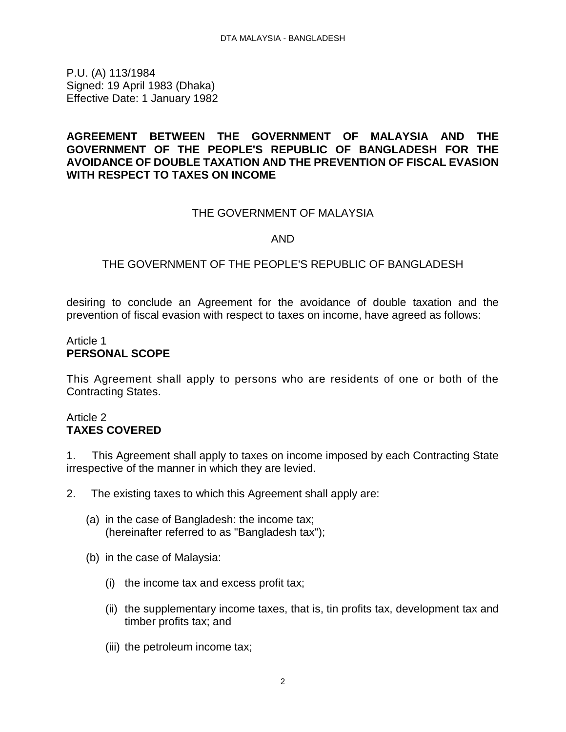<span id="page-1-0"></span>P.U. (A) 113/1984 Signed: 19 April 1983 (Dhaka) Effective Date: 1 January 1982

## **AGREEMENT BETWEEN THE GOVERNMENT OF MALAYSIA AND THE GOVERNMENT OF THE PEOPLE'S REPUBLIC OF BANGLADESH FOR THE AVOIDANCE OF DOUBLE TAXATION AND THE PREVENTION OF FISCAL EVASION WITH RESPECT TO TAXES ON INCOME**

## THE GOVERNMENT OF MALAYSIA

#### AND

## THE GOVERNMENT OF THE PEOPLE'S REPUBLIC OF BANGLADESH

desiring to conclude an Agreement for the avoidance of double taxation and the prevention of fiscal evasion with respect to taxes on income, have agreed as follows:

### Article 1 **PERSONAL SCOPE**

This Agreement shall apply to persons who are residents of one or both of the Contracting States.

#### Article 2 **TAXES COVERED**

1. This Agreement shall apply to taxes on income imposed by each Contracting State irrespective of the manner in which they are levied.

- 2. The existing taxes to which this Agreement shall apply are:
	- (a) in the case of Bangladesh: the income tax; (hereinafter referred to as "Bangladesh tax");
	- (b) in the case of Malaysia:
		- (i) the income tax and excess profit tax;
		- (ii) the supplementary income taxes, that is, tin profits tax, development tax and timber profits tax; and
		- (iii) the petroleum income tax;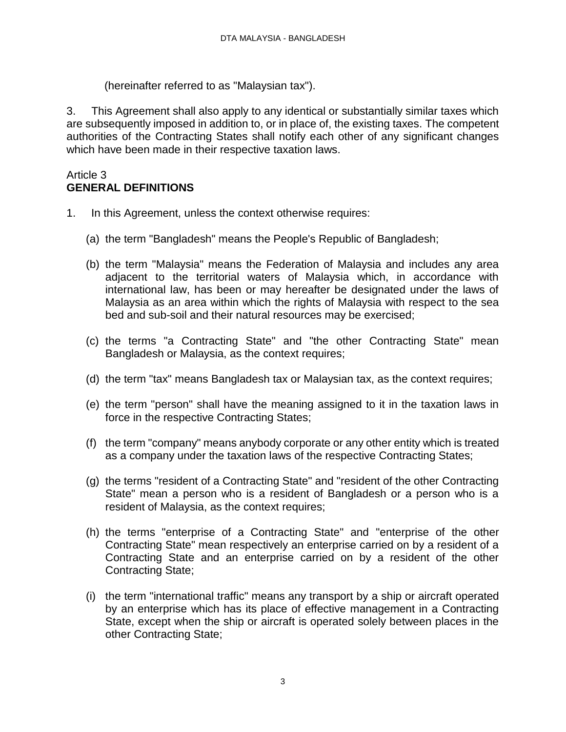(hereinafter referred to as "Malaysian tax").

3. This Agreement shall also apply to any identical or substantially similar taxes which are subsequently imposed in addition to, or in place of, the existing taxes. The competent authorities of the Contracting States shall notify each other of any significant changes which have been made in their respective taxation laws.

### Article 3 **GENERAL DEFINITIONS**

- 1. In this Agreement, unless the context otherwise requires:
	- (a) the term "Bangladesh" means the People's Republic of Bangladesh;
	- (b) the term "Malaysia" means the Federation of Malaysia and includes any area adjacent to the territorial waters of Malaysia which, in accordance with international law, has been or may hereafter be designated under the laws of Malaysia as an area within which the rights of Malaysia with respect to the sea bed and sub-soil and their natural resources may be exercised;
	- (c) the terms "a Contracting State" and "the other Contracting State" mean Bangladesh or Malaysia, as the context requires;
	- (d) the term "tax" means Bangladesh tax or Malaysian tax, as the context requires;
	- (e) the term "person" shall have the meaning assigned to it in the taxation laws in force in the respective Contracting States;
	- (f) the term "company" means anybody corporate or any other entity which is treated as a company under the taxation laws of the respective Contracting States;
	- (g) the terms "resident of a Contracting State" and "resident of the other Contracting State" mean a person who is a resident of Bangladesh or a person who is a resident of Malaysia, as the context requires;
	- (h) the terms "enterprise of a Contracting State" and "enterprise of the other Contracting State" mean respectively an enterprise carried on by a resident of a Contracting State and an enterprise carried on by a resident of the other Contracting State;
	- (i) the term "international traffic" means any transport by a ship or aircraft operated by an enterprise which has its place of effective management in a Contracting State, except when the ship or aircraft is operated solely between places in the other Contracting State;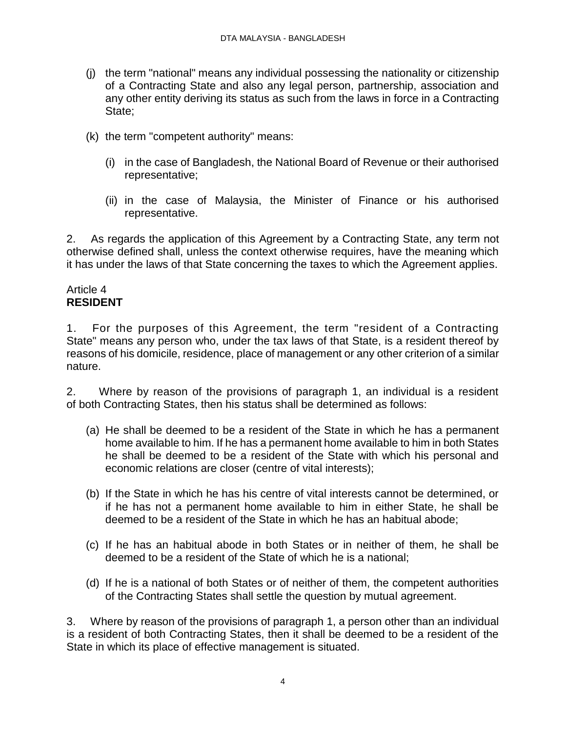- (j) the term "national" means any individual possessing the nationality or citizenship of a Contracting State and also any legal person, partnership, association and any other entity deriving its status as such from the laws in force in a Contracting State;
- (k) the term "competent authority" means:
	- (i) in the case of Bangladesh, the National Board of Revenue or their authorised representative;
	- (ii) in the case of Malaysia, the Minister of Finance or his authorised representative.

2. As regards the application of this Agreement by a Contracting State, any term not otherwise defined shall, unless the context otherwise requires, have the meaning which it has under the laws of that State concerning the taxes to which the Agreement applies.

#### Article 4 **RESIDENT**

1. For the purposes of this Agreement, the term "resident of a Contracting State" means any person who, under the tax laws of that State, is a resident thereof by reasons of his domicile, residence, place of management or any other criterion of a similar nature.

2. Where by reason of the provisions of paragraph 1, an individual is a resident of both Contracting States, then his status shall be determined as follows:

- (a) He shall be deemed to be a resident of the State in which he has a permanent home available to him. If he has a permanent home available to him in both States he shall be deemed to be a resident of the State with which his personal and economic relations are closer (centre of vital interests);
- (b) If the State in which he has his centre of vital interests cannot be determined, or if he has not a permanent home available to him in either State, he shall be deemed to be a resident of the State in which he has an habitual abode;
- (c) If he has an habitual abode in both States or in neither of them, he shall be deemed to be a resident of the State of which he is a national;
- (d) If he is a national of both States or of neither of them, the competent authorities of the Contracting States shall settle the question by mutual agreement.

3. Where by reason of the provisions of paragraph 1, a person other than an individual is a resident of both Contracting States, then it shall be deemed to be a resident of the State in which its place of effective management is situated.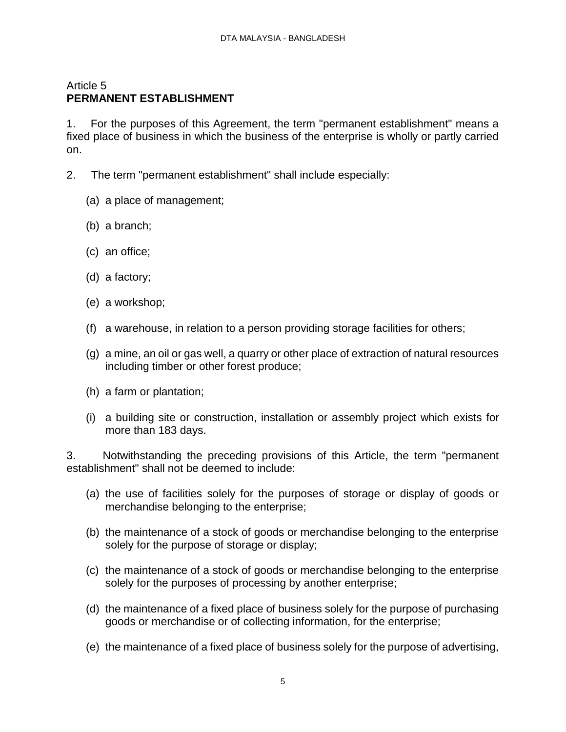# Article 5 **PERMANENT ESTABLISHMENT**

1. For the purposes of this Agreement, the term "permanent establishment" means a fixed place of business in which the business of the enterprise is wholly or partly carried on.

- 2. The term "permanent establishment" shall include especially:
	- (a) a place of management;
	- (b) a branch;
	- (c) an office;
	- (d) a factory;
	- (e) a workshop;
	- (f) a warehouse, in relation to a person providing storage facilities for others;
	- (g) a mine, an oil or gas well, a quarry or other place of extraction of natural resources including timber or other forest produce;
	- (h) a farm or plantation;
	- (i) a building site or construction, installation or assembly project which exists for more than 183 days.

3. Notwithstanding the preceding provisions of this Article, the term "permanent establishment" shall not be deemed to include:

- (a) the use of facilities solely for the purposes of storage or display of goods or merchandise belonging to the enterprise;
- (b) the maintenance of a stock of goods or merchandise belonging to the enterprise solely for the purpose of storage or display;
- (c) the maintenance of a stock of goods or merchandise belonging to the enterprise solely for the purposes of processing by another enterprise;
- (d) the maintenance of a fixed place of business solely for the purpose of purchasing goods or merchandise or of collecting information, for the enterprise;
- (e) the maintenance of a fixed place of business solely for the purpose of advertising,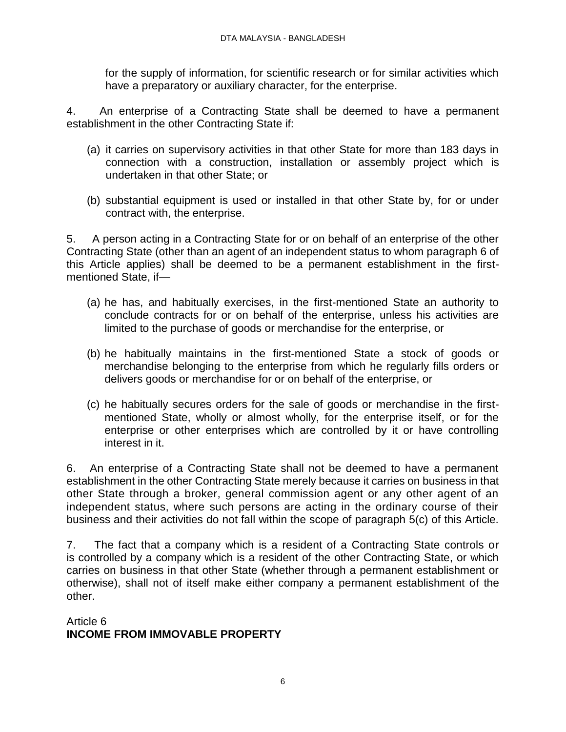for the supply of information, for scientific research or for similar activities which have a preparatory or auxiliary character, for the enterprise.

4. An enterprise of a Contracting State shall be deemed to have a permanent establishment in the other Contracting State if:

- (a) it carries on supervisory activities in that other State for more than 183 days in connection with a construction, installation or assembly project which is undertaken in that other State; or
- (b) substantial equipment is used or installed in that other State by, for or under contract with, the enterprise.

5. A person acting in a Contracting State for or on behalf of an enterprise of the other Contracting State (other than an agent of an independent status to whom paragraph 6 of this Article applies) shall be deemed to be a permanent establishment in the firstmentioned State, if—

- (a) he has, and habitually exercises, in the first-mentioned State an authority to conclude contracts for or on behalf of the enterprise, unless his activities are limited to the purchase of goods or merchandise for the enterprise, or
- (b) he habitually maintains in the first-mentioned State a stock of goods or merchandise belonging to the enterprise from which he regularly fills orders or delivers goods or merchandise for or on behalf of the enterprise, or
- (c) he habitually secures orders for the sale of goods or merchandise in the firstmentioned State, wholly or almost wholly, for the enterprise itself, or for the enterprise or other enterprises which are controlled by it or have controlling interest in it.

6. An enterprise of a Contracting State shall not be deemed to have a permanent establishment in the other Contracting State merely because it carries on business in that other State through a broker, general commission agent or any other agent of an independent status, where such persons are acting in the ordinary course of their business and their activities do not fall within the scope of paragraph 5(c) of this Article.

7. The fact that a company which is a resident of a Contracting State controls or is controlled by a company which is a resident of the other Contracting State, or which carries on business in that other State (whether through a permanent establishment or otherwise), shall not of itself make either company a permanent establishment of the other.

Article 6 **INCOME FROM IMMOVABLE PROPERTY**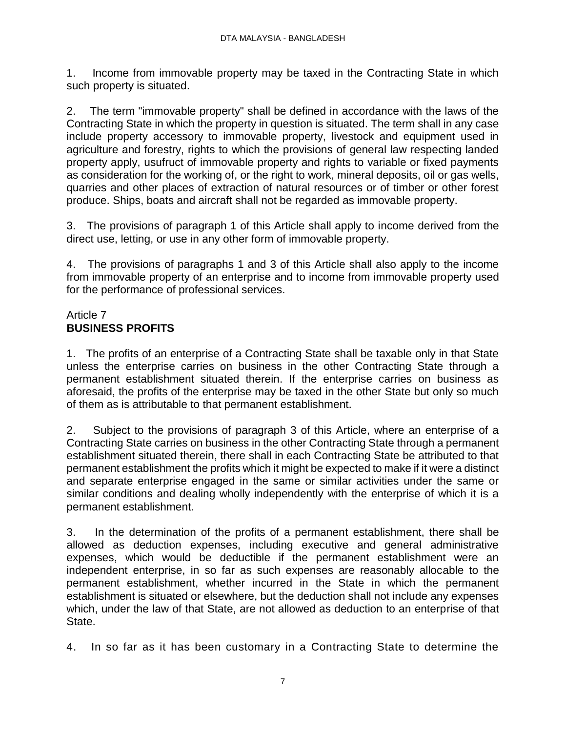1. Income from immovable property may be taxed in the Contracting State in which such property is situated.

2. The term "immovable property" shall be defined in accordance with the laws of the Contracting State in which the property in question is situated. The term shall in any case include property accessory to immovable property, livestock and equipment used in agriculture and forestry, rights to which the provisions of general law respecting landed property apply, usufruct of immovable property and rights to variable or fixed payments as consideration for the working of, or the right to work, mineral deposits, oil or gas wells, quarries and other places of extraction of natural resources or of timber or other forest produce. Ships, boats and aircraft shall not be regarded as immovable property.

3. The provisions of paragraph 1 of this Article shall apply to income derived from the direct use, letting, or use in any other form of immovable property.

4. The provisions of paragraphs 1 and 3 of this Article shall also apply to the income from immovable property of an enterprise and to income from immovable property used for the performance of professional services.

# Article 7 **BUSINESS PROFITS**

1. The profits of an enterprise of a Contracting State shall be taxable only in that State unless the enterprise carries on business in the other Contracting State through a permanent establishment situated therein. If the enterprise carries on business as aforesaid, the profits of the enterprise may be taxed in the other State but only so much of them as is attributable to that permanent establishment.

2. Subject to the provisions of paragraph 3 of this Article, where an enterprise of a Contracting State carries on business in the other Contracting State through a permanent establishment situated therein, there shall in each Contracting State be attributed to that permanent establishment the profits which it might be expected to make if it were a distinct and separate enterprise engaged in the same or similar activities under the same or similar conditions and dealing wholly independently with the enterprise of which it is a permanent establishment.

3. In the determination of the profits of a permanent establishment, there shall be allowed as deduction expenses, including executive and general administrative expenses, which would be deductible if the permanent establishment were an independent enterprise, in so far as such expenses are reasonably allocable to the permanent establishment, whether incurred in the State in which the permanent establishment is situated or elsewhere, but the deduction shall not include any expenses which, under the law of that State, are not allowed as deduction to an enterprise of that State.

4. In so far as it has been customary in a Contracting State to determine the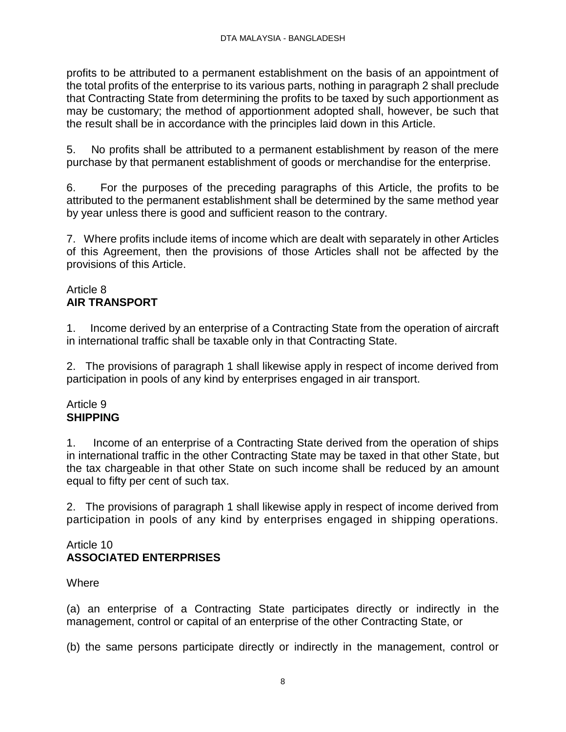profits to be attributed to a permanent establishment on the basis of an appointment of the total profits of the enterprise to its various parts, nothing in paragraph 2 shall preclude that Contracting State from determining the profits to be taxed by such apportionment as may be customary; the method of apportionment adopted shall, however, be such that the result shall be in accordance with the principles laid down in this Article.

5. No profits shall be attributed to a permanent establishment by reason of the mere purchase by that permanent establishment of goods or merchandise for the enterprise.

6. For the purposes of the preceding paragraphs of this Article, the profits to be attributed to the permanent establishment shall be determined by the same method year by year unless there is good and sufficient reason to the contrary.

7. Where profits include items of income which are dealt with separately in other Articles of this Agreement, then the provisions of those Articles shall not be affected by the provisions of this Article.

## Article 8 **AIR TRANSPORT**

1. Income derived by an enterprise of a Contracting State from the operation of aircraft in international traffic shall be taxable only in that Contracting State.

2. The provisions of paragraph 1 shall likewise apply in respect of income derived from participation in pools of any kind by enterprises engaged in air transport.

## Article 9 **SHIPPING**

1. Income of an enterprise of a Contracting State derived from the operation of ships in international traffic in the other Contracting State may be taxed in that other State, but the tax chargeable in that other State on such income shall be reduced by an amount equal to fifty per cent of such tax.

2. The provisions of paragraph 1 shall likewise apply in respect of income derived from participation in pools of any kind by enterprises engaged in shipping operations.

#### Article 10 **ASSOCIATED ENTERPRISES**

**Where** 

(a) an enterprise of a Contracting State participates directly or indirectly in the management, control or capital of an enterprise of the other Contracting State, or

(b) the same persons participate directly or indirectly in the management, control or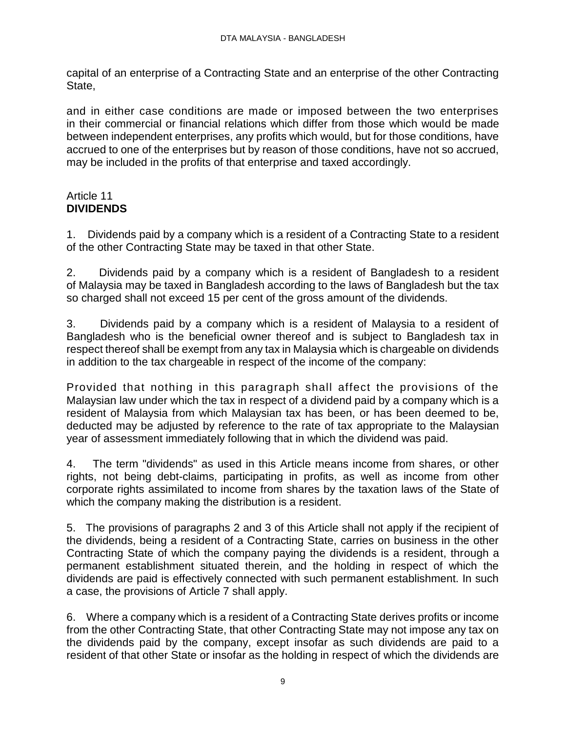capital of an enterprise of a Contracting State and an enterprise of the other Contracting State,

and in either case conditions are made or imposed between the two enterprises in their commercial or financial relations which differ from those which would be made between independent enterprises, any profits which would, but for those conditions, have accrued to one of the enterprises but by reason of those conditions, have not so accrued, may be included in the profits of that enterprise and taxed accordingly.

## Article 11 **DIVIDENDS**

1. Dividends paid by a company which is a resident of a Contracting State to a resident of the other Contracting State may be taxed in that other State.

2. Dividends paid by a company which is a resident of Bangladesh to a resident of Malaysia may be taxed in Bangladesh according to the laws of Bangladesh but the tax so charged shall not exceed 15 per cent of the gross amount of the dividends.

3. Dividends paid by a company which is a resident of Malaysia to a resident of Bangladesh who is the beneficial owner thereof and is subject to Bangladesh tax in respect thereof shall be exempt from any tax in Malaysia which is chargeable on dividends in addition to the tax chargeable in respect of the income of the company:

Provided that nothing in this paragraph shall affect the provisions of the Malaysian law under which the tax in respect of a dividend paid by a company which is a resident of Malaysia from which Malaysian tax has been, or has been deemed to be, deducted may be adjusted by reference to the rate of tax appropriate to the Malaysian year of assessment immediately following that in which the dividend was paid.

4. The term "dividends" as used in this Article means income from shares, or other rights, not being debt-claims, participating in profits, as well as income from other corporate rights assimilated to income from shares by the taxation laws of the State of which the company making the distribution is a resident.

5. The provisions of paragraphs 2 and 3 of this Article shall not apply if the recipient of the dividends, being a resident of a Contracting State, carries on business in the other Contracting State of which the company paying the dividends is a resident, through a permanent establishment situated therein, and the holding in respect of which the dividends are paid is effectively connected with such permanent establishment. In such a case, the provisions of Article 7 shall apply.

6. Where a company which is a resident of a Contracting State derives profits or income from the other Contracting State, that other Contracting State may not impose any tax on the dividends paid by the company, except insofar as such dividends are paid to a resident of that other State or insofar as the holding in respect of which the dividends are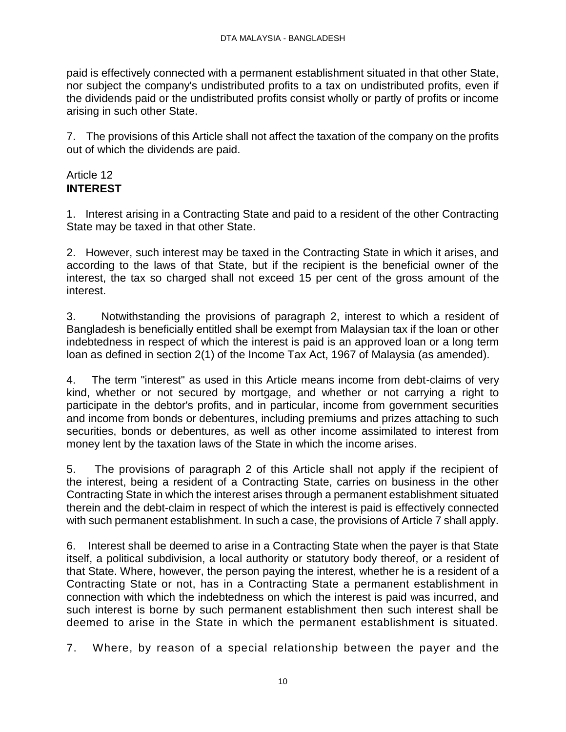paid is effectively connected with a permanent establishment situated in that other State, nor subject the company's undistributed profits to a tax on undistributed profits, even if the dividends paid or the undistributed profits consist wholly or partly of profits or income arising in such other State.

7. The provisions of this Article shall not affect the taxation of the company on the profits out of which the dividends are paid.

## Article 12 **INTEREST**

1. Interest arising in a Contracting State and paid to a resident of the other Contracting State may be taxed in that other State.

2. However, such interest may be taxed in the Contracting State in which it arises, and according to the laws of that State, but if the recipient is the beneficial owner of the interest, the tax so charged shall not exceed 15 per cent of the gross amount of the interest.

3. Notwithstanding the provisions of paragraph 2, interest to which a resident of Bangladesh is beneficially entitled shall be exempt from Malaysian tax if the loan or other indebtedness in respect of which the interest is paid is an approved loan or a long term loan as defined in section 2(1) of the Income Tax Act, 1967 of Malaysia (as amended).

4. The term "interest" as used in this Article means income from debt-claims of very kind, whether or not secured by mortgage, and whether or not carrying a right to participate in the debtor's profits, and in particular, income from government securities and income from bonds or debentures, including premiums and prizes attaching to such securities, bonds or debentures, as well as other income assimilated to interest from money lent by the taxation laws of the State in which the income arises.

5. The provisions of paragraph 2 of this Article shall not apply if the recipient of the interest, being a resident of a Contracting State, carries on business in the other Contracting State in which the interest arises through a permanent establishment situated therein and the debt-claim in respect of which the interest is paid is effectively connected with such permanent establishment. In such a case, the provisions of Article 7 shall apply.

6. Interest shall be deemed to arise in a Contracting State when the payer is that State itself, a political subdivision, a local authority or statutory body thereof, or a resident of that State. Where, however, the person paying the interest, whether he is a resident of a Contracting State or not, has in a Contracting State a permanent establishment in connection with which the indebtedness on which the interest is paid was incurred, and such interest is borne by such permanent establishment then such interest shall be deemed to arise in the State in which the permanent establishment is situated.

7. Where, by reason of a special relationship between the payer and the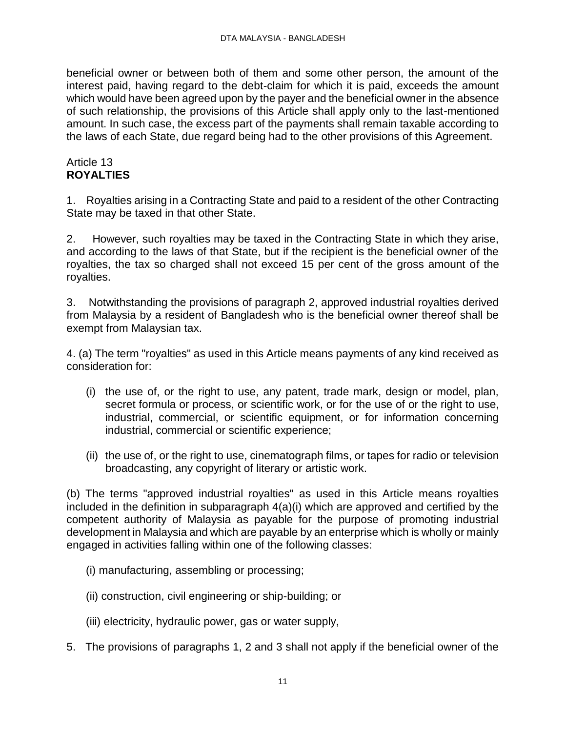beneficial owner or between both of them and some other person, the amount of the interest paid, having regard to the debt-claim for which it is paid, exceeds the amount which would have been agreed upon by the payer and the beneficial owner in the absence of such relationship, the provisions of this Article shall apply only to the last-mentioned amount. In such case, the excess part of the payments shall remain taxable according to the laws of each State, due regard being had to the other provisions of this Agreement.

# Article 13 **ROYALTIES**

1. Royalties arising in a Contracting State and paid to a resident of the other Contracting State may be taxed in that other State.

2. However, such royalties may be taxed in the Contracting State in which they arise, and according to the laws of that State, but if the recipient is the beneficial owner of the royalties, the tax so charged shall not exceed 15 per cent of the gross amount of the royalties.

3. Notwithstanding the provisions of paragraph 2, approved industrial royalties derived from Malaysia by a resident of Bangladesh who is the beneficial owner thereof shall be exempt from Malaysian tax.

4. (a) The term "royalties" as used in this Article means payments of any kind received as consideration for:

- (i) the use of, or the right to use, any patent, trade mark, design or model, plan, secret formula or process, or scientific work, or for the use of or the right to use, industrial, commercial, or scientific equipment, or for information concerning industrial, commercial or scientific experience;
- (ii) the use of, or the right to use, cinematograph films, or tapes for radio or television broadcasting, any copyright of literary or artistic work.

(b) The terms "approved industrial royalties" as used in this Article means royalties included in the definition in subparagraph 4(a)(i) which are approved and certified by the competent authority of Malaysia as payable for the purpose of promoting industrial development in Malaysia and which are payable by an enterprise which is wholly or mainly engaged in activities falling within one of the following classes:

- (i) manufacturing, assembling or processing;
- (ii) construction, civil engineering or ship-building; or
- (iii) electricity, hydraulic power, gas or water supply,
- 5. The provisions of paragraphs 1, 2 and 3 shall not apply if the beneficial owner of the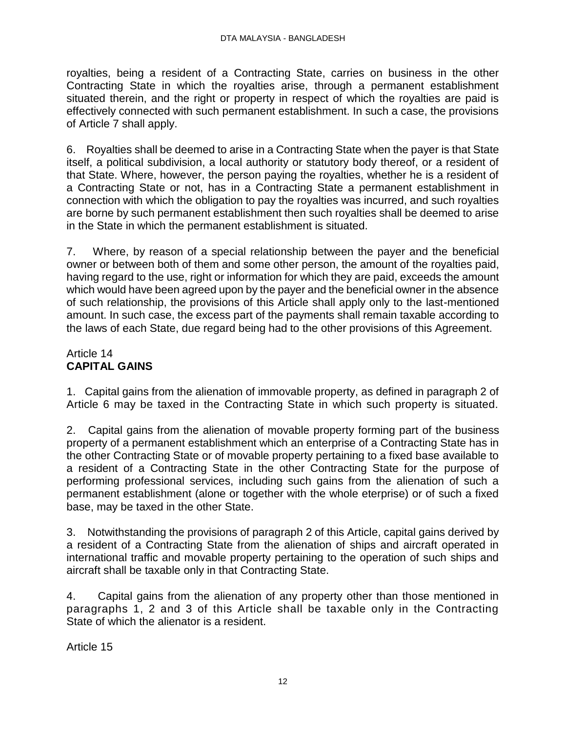royalties, being a resident of a Contracting State, carries on business in the other Contracting State in which the royalties arise, through a permanent establishment situated therein, and the right or property in respect of which the royalties are paid is effectively connected with such permanent establishment. In such a case, the provisions of Article 7 shall apply.

6. Royalties shall be deemed to arise in a Contracting State when the payer is that State itself, a political subdivision, a local authority or statutory body thereof, or a resident of that State. Where, however, the person paying the royalties, whether he is a resident of a Contracting State or not, has in a Contracting State a permanent establishment in connection with which the obligation to pay the royalties was incurred, and such royalties are borne by such permanent establishment then such royalties shall be deemed to arise in the State in which the permanent establishment is situated.

7. Where, by reason of a special relationship between the payer and the beneficial owner or between both of them and some other person, the amount of the royalties paid, having regard to the use, right or information for which they are paid, exceeds the amount which would have been agreed upon by the payer and the beneficial owner in the absence of such relationship, the provisions of this Article shall apply only to the last-mentioned amount. In such case, the excess part of the payments shall remain taxable according to the laws of each State, due regard being had to the other provisions of this Agreement.

# Article 14 **CAPITAL GAINS**

1. Capital gains from the alienation of immovable property, as defined in paragraph 2 of Article 6 may be taxed in the Contracting State in which such property is situated.

2. Capital gains from the alienation of movable property forming part of the business property of a permanent establishment which an enterprise of a Contracting State has in the other Contracting State or of movable property pertaining to a fixed base available to a resident of a Contracting State in the other Contracting State for the purpose of performing professional services, including such gains from the alienation of such a permanent establishment (alone or together with the whole eterprise) or of such a fixed base, may be taxed in the other State.

3. Notwithstanding the provisions of paragraph 2 of this Article, capital gains derived by a resident of a Contracting State from the alienation of ships and aircraft operated in international traffic and movable property pertaining to the operation of such ships and aircraft shall be taxable only in that Contracting State.

4. Capital gains from the alienation of any property other than those mentioned in paragraphs 1, 2 and 3 of this Article shall be taxable only in the Contracting State of which the alienator is a resident.

Article 15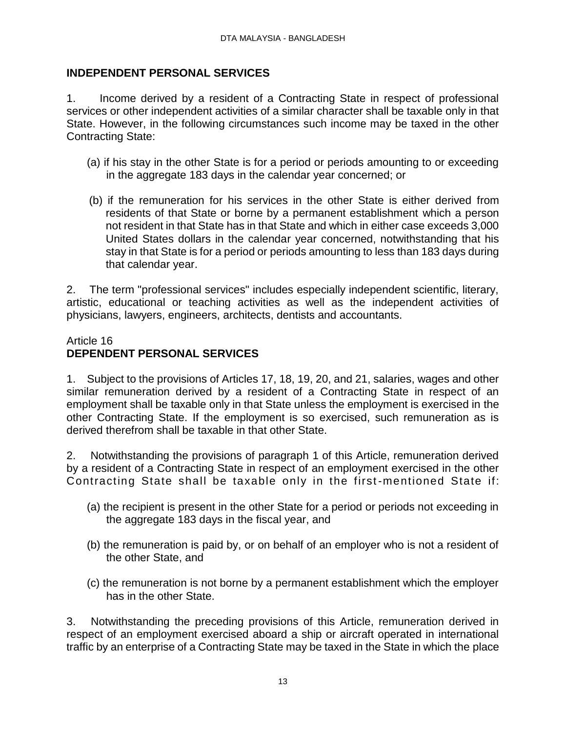## **INDEPENDENT PERSONAL SERVICES**

1. Income derived by a resident of a Contracting State in respect of professional services or other independent activities of a similar character shall be taxable only in that State. However, in the following circumstances such income may be taxed in the other Contracting State:

- (a) if his stay in the other State is for a period or periods amounting to or exceeding in the aggregate 183 days in the calendar year concerned; or
- (b) if the remuneration for his services in the other State is either derived from residents of that State or borne by a permanent establishment which a person not resident in that State has in that State and which in either case exceeds 3,000 United States dollars in the calendar year concerned, notwithstanding that his stay in that State is for a period or periods amounting to less than 183 days during that calendar year.

2. The term "professional services" includes especially independent scientific, literary, artistic, educational or teaching activities as well as the independent activities of physicians, lawyers, engineers, architects, dentists and accountants.

## Article 16 **DEPENDENT PERSONAL SERVICES**

1. Subject to the provisions of Articles 17, 18, 19, 20, and 21, salaries, wages and other similar remuneration derived by a resident of a Contracting State in respect of an employment shall be taxable only in that State unless the employment is exercised in the other Contracting State. If the employment is so exercised, such remuneration as is derived therefrom shall be taxable in that other State.

2. Notwithstanding the provisions of paragraph 1 of this Article, remuneration derived by a resident of a Contracting State in respect of an employment exercised in the other Contracting State shall be taxable only in the first -mentioned State if:

- (a) the recipient is present in the other State for a period or periods not exceeding in the aggregate 183 days in the fiscal year, and
- (b) the remuneration is paid by, or on behalf of an employer who is not a resident of the other State, and
- (c) the remuneration is not borne by a permanent establishment which the employer has in the other State.

3. Notwithstanding the preceding provisions of this Article, remuneration derived in respect of an employment exercised aboard a ship or aircraft operated in international traffic by an enterprise of a Contracting State may be taxed in the State in which the place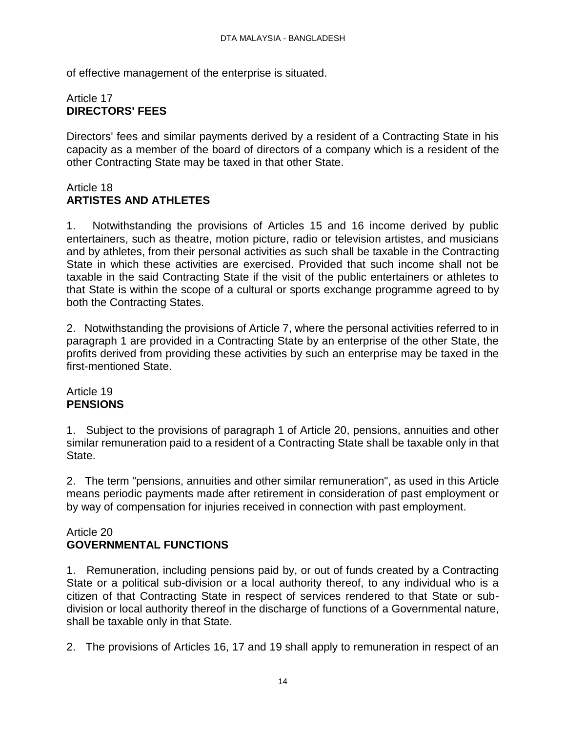of effective management of the enterprise is situated.

# Article 17 **DIRECTORS' FEES**

Directors' fees and similar payments derived by a resident of a Contracting State in his capacity as a member of the board of directors of a company which is a resident of the other Contracting State may be taxed in that other State.

## Article 18 **ARTISTES AND ATHLETES**

1. Notwithstanding the provisions of Articles 15 and 16 income derived by public entertainers, such as theatre, motion picture, radio or television artistes, and musicians and by athletes, from their personal activities as such shall be taxable in the Contracting State in which these activities are exercised. Provided that such income shall not be taxable in the said Contracting State if the visit of the public entertainers or athletes to that State is within the scope of a cultural or sports exchange programme agreed to by both the Contracting States.

2. Notwithstanding the provisions of Article 7, where the personal activities referred to in paragraph 1 are provided in a Contracting State by an enterprise of the other State, the profits derived from providing these activities by such an enterprise may be taxed in the first-mentioned State.

### Article 19 **PENSIONS**

1. Subject to the provisions of paragraph 1 of Article 20, pensions, annuities and other similar remuneration paid to a resident of a Contracting State shall be taxable only in that State.

2. The term "pensions, annuities and other similar remuneration", as used in this Article means periodic payments made after retirement in consideration of past employment or by way of compensation for injuries received in connection with past employment.

# Article 20 **GOVERNMENTAL FUNCTIONS**

1. Remuneration, including pensions paid by, or out of funds created by a Contracting State or a political sub-division or a local authority thereof, to any individual who is a citizen of that Contracting State in respect of services rendered to that State or subdivision or local authority thereof in the discharge of functions of a Governmental nature, shall be taxable only in that State.

2. The provisions of Articles 16, 17 and 19 shall apply to remuneration in respect of an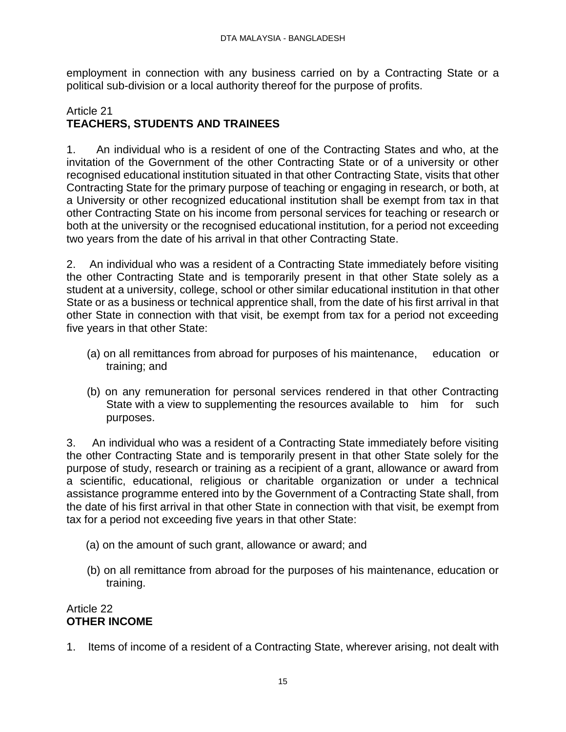employment in connection with any business carried on by a Contracting State or a political sub-division or a local authority thereof for the purpose of profits.

## Article 21 **TEACHERS, STUDENTS AND TRAINEES**

1. An individual who is a resident of one of the Contracting States and who, at the invitation of the Government of the other Contracting State or of a university or other recognised educational institution situated in that other Contracting State, visits that other Contracting State for the primary purpose of teaching or engaging in research, or both, at a University or other recognized educational institution shall be exempt from tax in that other Contracting State on his income from personal services for teaching or research or both at the university or the recognised educational institution, for a period not exceeding two years from the date of his arrival in that other Contracting State.

2. An individual who was a resident of a Contracting State immediately before visiting the other Contracting State and is temporarily present in that other State solely as a student at a university, college, school or other similar educational institution in that other State or as a business or technical apprentice shall, from the date of his first arrival in that other State in connection with that visit, be exempt from tax for a period not exceeding five years in that other State:

- (a) on all remittances from abroad for purposes of his maintenance, education or training; and
- (b) on any remuneration for personal services rendered in that other Contracting State with a view to supplementing the resources available to him for such purposes.

3. An individual who was a resident of a Contracting State immediately before visiting the other Contracting State and is temporarily present in that other State solely for the purpose of study, research or training as a recipient of a grant, allowance or award from a scientific, educational, religious or charitable organization or under a technical assistance programme entered into by the Government of a Contracting State shall, from the date of his first arrival in that other State in connection with that visit, be exempt from tax for a period not exceeding five years in that other State:

- (a) on the amount of such grant, allowance or award; and
- (b) on all remittance from abroad for the purposes of his maintenance, education or training.

# Article 22 **OTHER INCOME**

1. Items of income of a resident of a Contracting State, wherever arising, not dealt with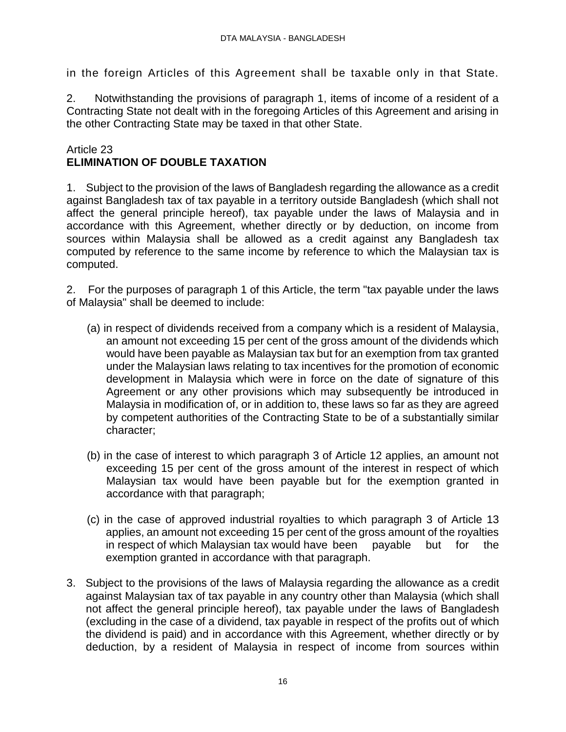in the foreign Articles of this Agreement shall be taxable only in that State.

2. Notwithstanding the provisions of paragraph 1, items of income of a resident of a Contracting State not dealt with in the foregoing Articles of this Agreement and arising in the other Contracting State may be taxed in that other State.

### Article 23 **ELIMINATION OF DOUBLE TAXATION**

1. Subject to the provision of the laws of Bangladesh regarding the allowance as a credit against Bangladesh tax of tax payable in a territory outside Bangladesh (which shall not affect the general principle hereof), tax payable under the laws of Malaysia and in accordance with this Agreement, whether directly or by deduction, on income from sources within Malaysia shall be allowed as a credit against any Bangladesh tax computed by reference to the same income by reference to which the Malaysian tax is computed.

2. For the purposes of paragraph 1 of this Article, the term "tax payable under the laws of Malaysia" shall be deemed to include:

- (a) in respect of dividends received from a company which is a resident of Malaysia, an amount not exceeding 15 per cent of the gross amount of the dividends which would have been payable as Malaysian tax but for an exemption from tax granted under the Malaysian laws relating to tax incentives for the promotion of economic development in Malaysia which were in force on the date of signature of this Agreement or any other provisions which may subsequently be introduced in Malaysia in modification of, or in addition to, these laws so far as they are agreed by competent authorities of the Contracting State to be of a substantially similar character;
- (b) in the case of interest to which paragraph 3 of Article 12 applies, an amount not exceeding 15 per cent of the gross amount of the interest in respect of which Malaysian tax would have been payable but for the exemption granted in accordance with that paragraph;
- (c) in the case of approved industrial royalties to which paragraph 3 of Article 13 applies, an amount not exceeding 15 per cent of the gross amount of the royalties in respect of which Malaysian tax would have been payable but for the exemption granted in accordance with that paragraph.
- 3. Subject to the provisions of the laws of Malaysia regarding the allowance as a credit against Malaysian tax of tax payable in any country other than Malaysia (which shall not affect the general principle hereof), tax payable under the laws of Bangladesh (excluding in the case of a dividend, tax payable in respect of the profits out of which the dividend is paid) and in accordance with this Agreement, whether directly or by deduction, by a resident of Malaysia in respect of income from sources within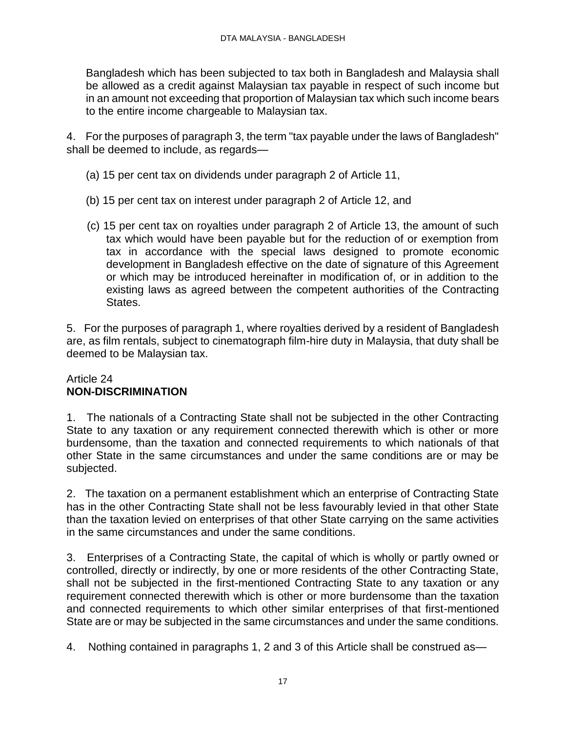Bangladesh which has been subjected to tax both in Bangladesh and Malaysia shall be allowed as a credit against Malaysian tax payable in respect of such income but in an amount not exceeding that proportion of Malaysian tax which such income bears to the entire income chargeable to Malaysian tax.

4. For the purposes of paragraph 3, the term "tax payable under the laws of Bangladesh" shall be deemed to include, as regards—

- (a) 15 per cent tax on dividends under paragraph 2 of Article 11,
- (b) 15 per cent tax on interest under paragraph 2 of Article 12, and
- (c) 15 per cent tax on royalties under paragraph 2 of Article 13, the amount of such tax which would have been payable but for the reduction of or exemption from tax in accordance with the special laws designed to promote economic development in Bangladesh effective on the date of signature of this Agreement or which may be introduced hereinafter in modification of, or in addition to the existing laws as agreed between the competent authorities of the Contracting States.

5. For the purposes of paragraph 1, where royalties derived by a resident of Bangladesh are, as film rentals, subject to cinematograph film-hire duty in Malaysia, that duty shall be deemed to be Malaysian tax.

### Article 24 **NON-DISCRIMINATION**

1. The nationals of a Contracting State shall not be subjected in the other Contracting State to any taxation or any requirement connected therewith which is other or more burdensome, than the taxation and connected requirements to which nationals of that other State in the same circumstances and under the same conditions are or may be subjected.

2. The taxation on a permanent establishment which an enterprise of Contracting State has in the other Contracting State shall not be less favourably levied in that other State than the taxation levied on enterprises of that other State carrying on the same activities in the same circumstances and under the same conditions.

3. Enterprises of a Contracting State, the capital of which is wholly or partly owned or controlled, directly or indirectly, by one or more residents of the other Contracting State, shall not be subjected in the first-mentioned Contracting State to any taxation or any requirement connected therewith which is other or more burdensome than the taxation and connected requirements to which other similar enterprises of that first-mentioned State are or may be subjected in the same circumstances and under the same conditions.

4. Nothing contained in paragraphs 1, 2 and 3 of this Article shall be construed as—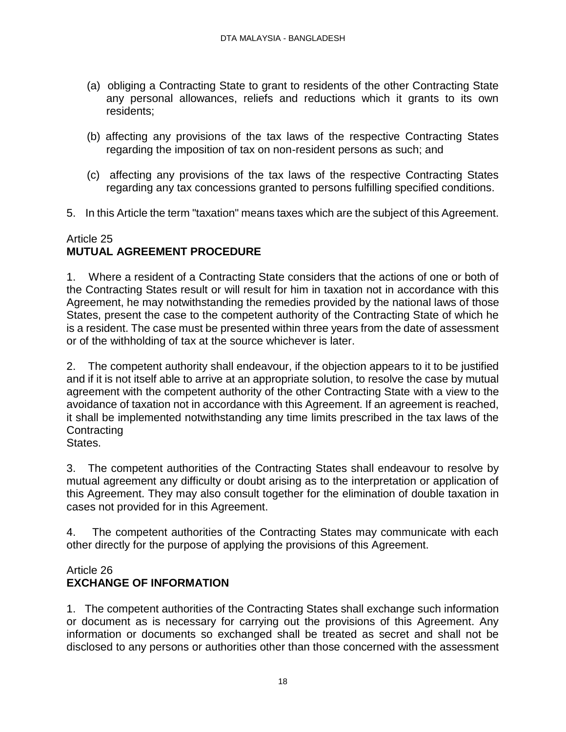- (a) obliging a Contracting State to grant to residents of the other Contracting State any personal allowances, reliefs and reductions which it grants to its own residents;
- (b) affecting any provisions of the tax laws of the respective Contracting States regarding the imposition of tax on non-resident persons as such; and
- (c) affecting any provisions of the tax laws of the respective Contracting States regarding any tax concessions granted to persons fulfilling specified conditions.
- 5. In this Article the term "taxation" means taxes which are the subject of this Agreement.

# Article 25 **MUTUAL AGREEMENT PROCEDURE**

1. Where a resident of a Contracting State considers that the actions of one or both of the Contracting States result or will result for him in taxation not in accordance with this Agreement, he may notwithstanding the remedies provided by the national laws of those States, present the case to the competent authority of the Contracting State of which he is a resident. The case must be presented within three years from the date of assessment or of the withholding of tax at the source whichever is later.

2. The competent authority shall endeavour, if the objection appears to it to be justified and if it is not itself able to arrive at an appropriate solution, to resolve the case by mutual agreement with the competent authority of the other Contracting State with a view to the avoidance of taxation not in accordance with this Agreement. If an agreement is reached, it shall be implemented notwithstanding any time limits prescribed in the tax laws of the **Contracting** 

States.

3. The competent authorities of the Contracting States shall endeavour to resolve by mutual agreement any difficulty or doubt arising as to the interpretation or application of this Agreement. They may also consult together for the elimination of double taxation in cases not provided for in this Agreement.

4. The competent authorities of the Contracting States may communicate with each other directly for the purpose of applying the provisions of this Agreement.

# Article 26 **EXCHANGE OF INFORMATION**

1. The competent authorities of the Contracting States shall exchange such information or document as is necessary for carrying out the provisions of this Agreement. Any information or documents so exchanged shall be treated as secret and shall not be disclosed to any persons or authorities other than those concerned with the assessment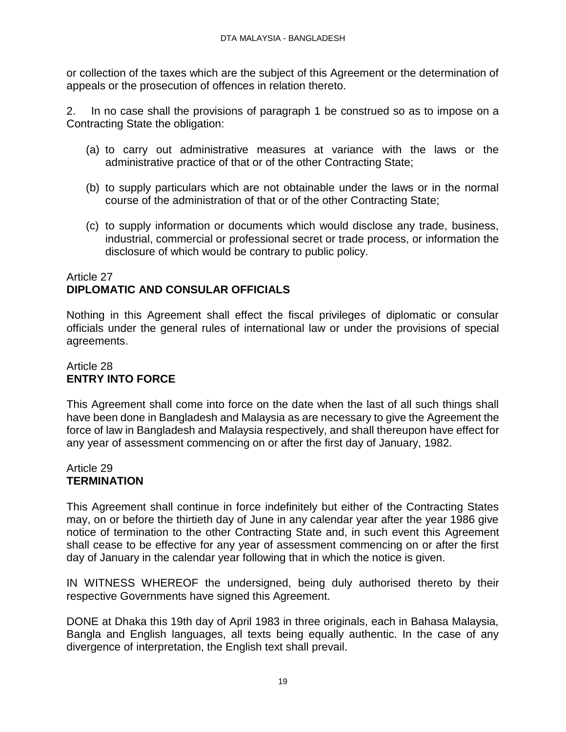or collection of the taxes which are the subject of this Agreement or the determination of appeals or the prosecution of offences in relation thereto.

2. In no case shall the provisions of paragraph 1 be construed so as to impose on a Contracting State the obligation:

- (a) to carry out administrative measures at variance with the laws or the administrative practice of that or of the other Contracting State;
- (b) to supply particulars which are not obtainable under the laws or in the normal course of the administration of that or of the other Contracting State;
- (c) to supply information or documents which would disclose any trade, business, industrial, commercial or professional secret or trade process, or information the disclosure of which would be contrary to public policy.

## Article 27 **DIPLOMATIC AND CONSULAR OFFICIALS**

Nothing in this Agreement shall effect the fiscal privileges of diplomatic or consular officials under the general rules of international law or under the provisions of special agreements.

# Article 28 **ENTRY INTO FORCE**

This Agreement shall come into force on the date when the last of all such things shall have been done in Bangladesh and Malaysia as are necessary to give the Agreement the force of law in Bangladesh and Malaysia respectively, and shall thereupon have effect for any year of assessment commencing on or after the first day of January, 1982.

### Article 29 **TERMINATION**

This Agreement shall continue in force indefinitely but either of the Contracting States may, on or before the thirtieth day of June in any calendar year after the year 1986 give notice of termination to the other Contracting State and, in such event this Agreement shall cease to be effective for any year of assessment commencing on or after the first day of January in the calendar year following that in which the notice is given.

IN WITNESS WHEREOF the undersigned, being duly authorised thereto by their respective Governments have signed this Agreement.

DONE at Dhaka this 19th day of April 1983 in three originals, each in Bahasa Malaysia, Bangla and English languages, all texts being equally authentic. In the case of any divergence of interpretation, the English text shall prevail.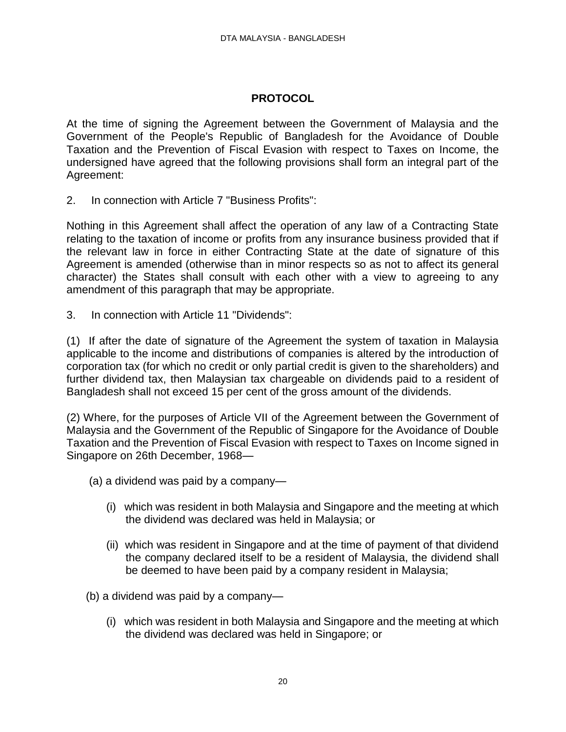# **PROTOCOL**

At the time of signing the Agreement between the Government of Malaysia and the Government of the People's Republic of Bangladesh for the Avoidance of Double Taxation and the Prevention of Fiscal Evasion with respect to Taxes on Income, the undersigned have agreed that the following provisions shall form an integral part of the Agreement:

2. In connection with Article 7 "Business Profits":

Nothing in this Agreement shall affect the operation of any law of a Contracting State relating to the taxation of income or profits from any insurance business provided that if the relevant law in force in either Contracting State at the date of signature of this Agreement is amended (otherwise than in minor respects so as not to affect its general character) the States shall consult with each other with a view to agreeing to any amendment of this paragraph that may be appropriate.

3. In connection with Article 11 "Dividends":

(1) If after the date of signature of the Agreement the system of taxation in Malaysia applicable to the income and distributions of companies is altered by the introduction of corporation tax (for which no credit or only partial credit is given to the shareholders) and further dividend tax, then Malaysian tax chargeable on dividends paid to a resident of Bangladesh shall not exceed 15 per cent of the gross amount of the dividends.

(2) Where, for the purposes of Article VII of the Agreement between the Government of Malaysia and the Government of the Republic of Singapore for the Avoidance of Double Taxation and the Prevention of Fiscal Evasion with respect to Taxes on Income signed in Singapore on 26th December, 1968—

- (a) a dividend was paid by a company—
	- (i) which was resident in both Malaysia and Singapore and the meeting at which the dividend was declared was held in Malaysia; or
	- (ii) which was resident in Singapore and at the time of payment of that dividend the company declared itself to be a resident of Malaysia, the dividend shall be deemed to have been paid by a company resident in Malaysia;

(b) a dividend was paid by a company—

(i) which was resident in both Malaysia and Singapore and the meeting at which the dividend was declared was held in Singapore; or